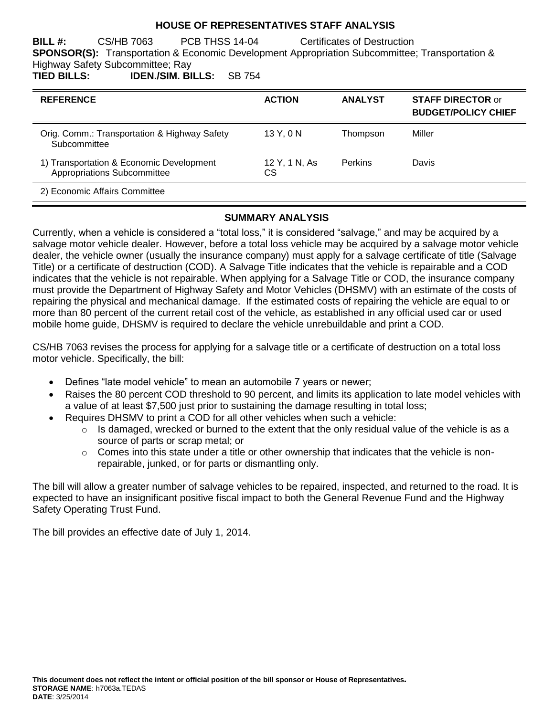### **HOUSE OF REPRESENTATIVES STAFF ANALYSIS**

**BILL #:** CS/HB 7063 PCB THSS 14-04 Certificates of Destruction **SPONSOR(S):** Transportation & Economic Development Appropriation Subcommittee; Transportation & Highway Safety Subcommittee; Ray

**TIED BILLS: IDEN./SIM. BILLS:** SB 754

| <b>REFERENCE</b>                                                        | <b>ACTION</b>       | <b>ANALYST</b> | <b>STAFF DIRECTOR or</b><br><b>BUDGET/POLICY CHIEF</b> |
|-------------------------------------------------------------------------|---------------------|----------------|--------------------------------------------------------|
| Orig. Comm.: Transportation & Highway Safety<br>Subcommittee            | 13 Y, 0 N           | Thompson       | Miller                                                 |
| 1) Transportation & Economic Development<br>Appropriations Subcommittee | 12 Y, 1 N, As<br>СS | <b>Perkins</b> | Davis                                                  |
| 2) Economic Affairs Committee                                           |                     |                |                                                        |

#### **SUMMARY ANALYSIS**

Currently, when a vehicle is considered a "total loss," it is considered "salvage," and may be acquired by a salvage motor vehicle dealer. However, before a total loss vehicle may be acquired by a salvage motor vehicle dealer, the vehicle owner (usually the insurance company) must apply for a salvage certificate of title (Salvage Title) or a certificate of destruction (COD). A Salvage Title indicates that the vehicle is repairable and a COD indicates that the vehicle is not repairable. When applying for a Salvage Title or COD, the insurance company must provide the Department of Highway Safety and Motor Vehicles (DHSMV) with an estimate of the costs of repairing the physical and mechanical damage. If the estimated costs of repairing the vehicle are equal to or more than 80 percent of the current retail cost of the vehicle, as established in any official used car or used mobile home guide, DHSMV is required to declare the vehicle unrebuildable and print a COD.

CS/HB 7063 revises the process for applying for a salvage title or a certificate of destruction on a total loss motor vehicle. Specifically, the bill:

- Defines "late model vehicle" to mean an automobile 7 years or newer;
- Raises the 80 percent COD threshold to 90 percent, and limits its application to late model vehicles with a value of at least \$7,500 just prior to sustaining the damage resulting in total loss;
- Requires DHSMV to print a COD for all other vehicles when such a vehicle:
	- $\circ$  Is damaged, wrecked or burned to the extent that the only residual value of the vehicle is as a source of parts or scrap metal; or
	- $\circ$  Comes into this state under a title or other ownership that indicates that the vehicle is nonrepairable, junked, or for parts or dismantling only.

The bill will allow a greater number of salvage vehicles to be repaired, inspected, and returned to the road. It is expected to have an insignificant positive fiscal impact to both the General Revenue Fund and the Highway Safety Operating Trust Fund.

The bill provides an effective date of July 1, 2014.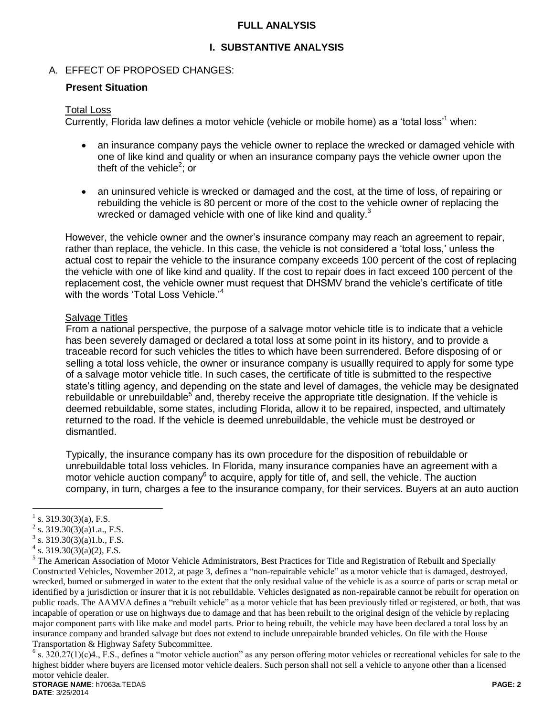### **FULL ANALYSIS**

### **I. SUBSTANTIVE ANALYSIS**

### A. EFFECT OF PROPOSED CHANGES:

#### **Present Situation**

#### Total Loss

Currently, Florida law defines a motor vehicle (vehicle or mobile home) as a 'total loss'<sup>1</sup> when:

- an insurance company pays the vehicle owner to replace the wrecked or damaged vehicle with one of like kind and quality or when an insurance company pays the vehicle owner upon the theft of the vehicle<sup>2</sup>; or
- an uninsured vehicle is wrecked or damaged and the cost, at the time of loss, of repairing or rebuilding the vehicle is 80 percent or more of the cost to the vehicle owner of replacing the wrecked or damaged vehicle with one of like kind and quality.<sup>3</sup>

However, the vehicle owner and the owner's insurance company may reach an agreement to repair, rather than replace, the vehicle. In this case, the vehicle is not considered a 'total loss,' unless the actual cost to repair the vehicle to the insurance company exceeds 100 percent of the cost of replacing the vehicle with one of like kind and quality. If the cost to repair does in fact exceed 100 percent of the replacement cost, the vehicle owner must request that DHSMV brand the vehicle's certificate of title with the words 'Total Loss Vehicle.'<sup>4</sup>

#### Salvage Titles

From a national perspective, the purpose of a salvage motor vehicle title is to indicate that a vehicle has been severely damaged or declared a total loss at some point in its history, and to provide a traceable record for such vehicles the titles to which have been surrendered. Before disposing of or selling a total loss vehicle, the owner or insurance company is usuallly required to apply for some type of a salvage motor vehicle title. In such cases, the certificate of title is submitted to the respective state's titling agency, and depending on the state and level of damages, the vehicle may be designated rebuildable or unrebuildable<sup>5</sup> and, thereby receive the appropriate title designation. If the vehicle is deemed rebuildable, some states, including Florida, allow it to be repaired, inspected, and ultimately returned to the road. If the vehicle is deemed unrebuildable, the vehicle must be destroyed or dismantled.

Typically, the insurance company has its own procedure for the disposition of rebuildable or unrebuildable total loss vehicles. In Florida, many insurance companies have an agreement with a motor vehicle auction company $^6$  to acquire, apply for title of, and sell, the vehicle. The auction company, in turn, charges a fee to the insurance company, for their services. Buyers at an auto auction

 $\overline{a}$ 

<sup>1</sup> s. 319.30(3)(a), F.S.

<sup>&</sup>lt;sup>2</sup> s. 319.30(3)(a)1.a., F.S.

s. 319.30(3)(a)1.b., F.S.

 $4 \text{ s. } 319.30(3)(a)(2)$ , F.S.

<sup>&</sup>lt;sup>5</sup> The American Association of Motor Vehicle Administrators, Best Practices for Title and Registration of Rebuilt and Specially Constructed Vehicles, November 2012, at page 3, defines a "non-repairable vehicle" as a motor vehicle that is damaged, destroyed, wrecked, burned or submerged in water to the extent that the only residual value of the vehicle is as a source of parts or scrap metal or identified by a jurisdiction or insurer that it is not rebuildable. Vehicles designated as non-repairable cannot be rebuilt for operation on public roads. The AAMVA defines a "rebuilt vehicle" as a motor vehicle that has been previously titled or registered, or both, that was incapable of operation or use on highways due to damage and that has been rebuilt to the original design of the vehicle by replacing major component parts with like make and model parts. Prior to being rebuilt, the vehicle may have been declared a total loss by an insurance company and branded salvage but does not extend to include unrepairable branded vehicles. On file with the House Transportation & Highway Safety Subcommittee.

 $6$  s. 320.27(1)(c)4., F.S., defines a "motor vehicle auction" as any person offering motor vehicles or recreational vehicles for sale to the highest bidder where buyers are licensed motor vehicle dealers. Such person shall not sell a vehicle to anyone other than a licensed motor vehicle dealer.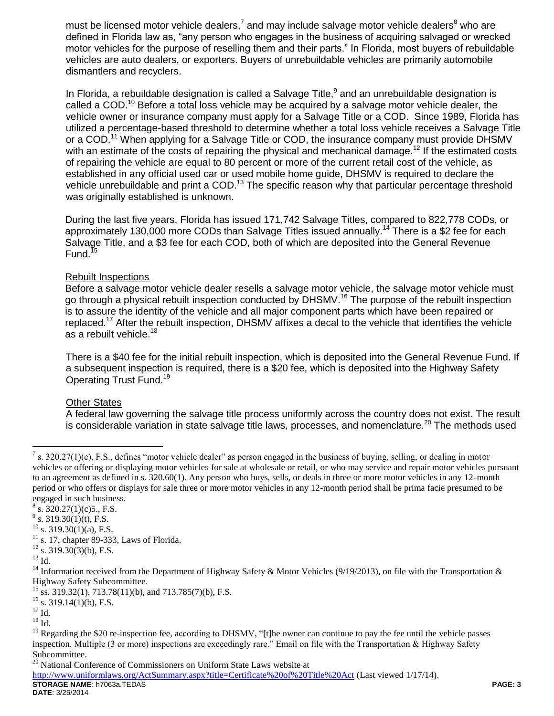must be licensed motor vehicle dealers,<sup>7</sup> and may include salvage motor vehicle dealers<sup>8</sup> who are defined in Florida law as, "any person who engages in the business of acquiring salvaged or wrecked motor vehicles for the purpose of reselling them and their parts." In Florida, most buyers of rebuildable vehicles are auto dealers, or exporters. Buyers of unrebuildable vehicles are primarily automobile dismantlers and recyclers.

In Florida, a rebuildable designation is called a Salvage Title, $9$  and an unrebuildable designation is called a COD.<sup>10</sup> Before a total loss vehicle may be acquired by a salvage motor vehicle dealer, the vehicle owner or insurance company must apply for a Salvage Title or a COD. Since 1989, Florida has utilized a percentage-based threshold to determine whether a total loss vehicle receives a Salvage Title or a COD.<sup>11</sup> When applying for a Salvage Title or COD, the insurance company must provide DHSMV with an estimate of the costs of repairing the physical and mechanical damage.<sup>12</sup> If the estimated costs of repairing the vehicle are equal to 80 percent or more of the current retail cost of the vehicle, as established in any official used car or used mobile home guide, DHSMV is required to declare the vehicle unrebuildable and print a COD.<sup>13</sup> The specific reason why that particular percentage threshold was originally established is unknown.

During the last five years, Florida has issued 171,742 Salvage Titles, compared to 822,778 CODs, or approximately 130,000 more CODs than Salvage Titles issued annually.<sup>14</sup> There is a \$2 fee for each Salvage Title, and a \$3 fee for each COD, both of which are deposited into the General Revenue Fund.<sup>15</sup>

#### Rebuilt Inspections

Before a salvage motor vehicle dealer resells a salvage motor vehicle, the salvage motor vehicle must go through a physical rebuilt inspection conducted by DHSMV.<sup>16</sup> The purpose of the rebuilt inspection is to assure the identity of the vehicle and all major component parts which have been repaired or replaced.<sup>17</sup> After the rebuilt inspection, DHSMV affixes a decal to the vehicle that identifies the vehicle as a rebuilt vehicle.<sup>18</sup>

There is a \$40 fee for the initial rebuilt inspection, which is deposited into the General Revenue Fund. If a subsequent inspection is required, there is a \$20 fee, which is deposited into the Highway Safety Operating Trust Fund.<sup>19</sup>

### Other States

A federal law governing the salvage title process uniformly across the country does not exist. The result is considerable variation in state salvage title laws, processes, and nomenclature.<sup>20</sup> The methods used

s. 17, chapter 89-333, Laws of Florida.

 $\overline{a}$ 

<sup>&</sup>lt;sup>7</sup> s. 320.27(1)(c), F.S., defines "motor vehicle dealer" as person engaged in the business of buying, selling, or dealing in motor vehicles or offering or displaying motor vehicles for sale at wholesale or retail, or who may service and repair motor vehicles pursuant to an agreement as defined in s. 320.60(1). Any person who buys, sells, or deals in three or more motor vehicles in any 12-month period or who offers or displays for sale three or more motor vehicles in any 12-month period shall be prima facie presumed to be engaged in such business.

 $8\,$  s. 320.27(1)(c)5., F.S.

 $9^9$  s. 319.30(1)(t), F.S.

 $^{10}$  s. 319.30(1)(a), F.S.

 $12$  s. 319.30(3)(b), F.S.

 $^{13}$  Id.

<sup>&</sup>lt;sup>14</sup> Information received from the Department of Highway Safety & Motor Vehicles (9/19/2013), on file with the Transportation & Highway Safety Subcommittee.

ss. 319.32(1), 713.78(11)(b), and 713.785(7)(b), F.S.

 $16$  s. 319.14(1)(b), F.S.

 $17$  Id.

 $^{18}$  Id.

 $19$  Regarding the \$20 re-inspection fee, according to DHSMV, "[t]he owner can continue to pay the fee until the vehicle passes inspection. Multiple (3 or more) inspections are exceedingly rare." Email on file with the Transportation & Highway Safety Subcommittee.<br> $^{20}$  National Con

National Conference of Commissioners on Uniform State Laws website at

**STORAGE NAME**: h7063a.TEDAS **PAGE: 3** <http://www.uniformlaws.org/ActSummary.aspx?title=Certificate%20of%20Title%20Act> (Last viewed 1/17/14).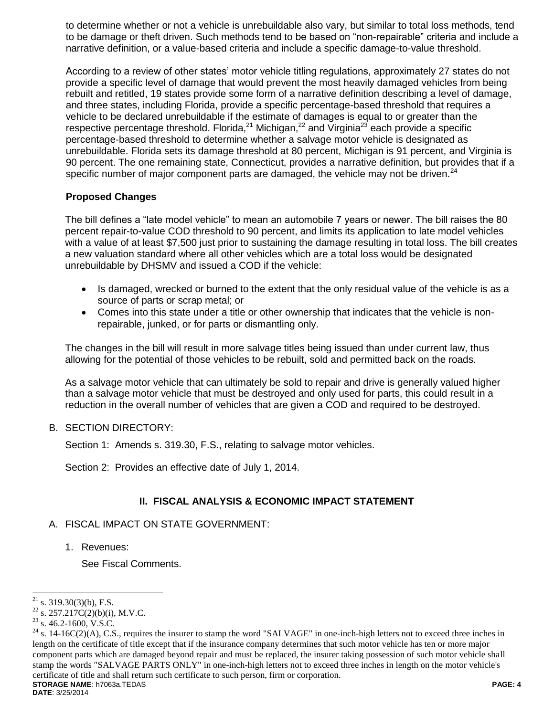to determine whether or not a vehicle is unrebuildable also vary, but similar to total loss methods, tend to be damage or theft driven. Such methods tend to be based on "non-repairable" criteria and include a narrative definition, or a value-based criteria and include a specific damage-to-value threshold.

According to a review of other states' motor vehicle titling regulations, approximately 27 states do not provide a specific level of damage that would prevent the most heavily damaged vehicles from being rebuilt and retitled, 19 states provide some form of a narrative definition describing a level of damage, and three states, including Florida, provide a specific percentage-based threshold that requires a vehicle to be declared unrebuildable if the estimate of damages is equal to or greater than the respective percentage threshold. Florida,<sup>21</sup> Michigan,<sup>22</sup> and Virginia<sup>23</sup> each provide a specific percentage-based threshold to determine whether a salvage motor vehicle is designated as unrebuildable. Florida sets its damage threshold at 80 percent, Michigan is 91 percent, and Virginia is 90 percent. The one remaining state, Connecticut, provides a narrative definition, but provides that if a specific number of major component parts are damaged, the vehicle may not be driven. $^{24}$ 

### **Proposed Changes**

The bill defines a "late model vehicle" to mean an automobile 7 years or newer. The bill raises the 80 percent repair-to-value COD threshold to 90 percent, and limits its application to late model vehicles with a value of at least \$7,500 just prior to sustaining the damage resulting in total loss. The bill creates a new valuation standard where all other vehicles which are a total loss would be designated unrebuildable by DHSMV and issued a COD if the vehicle:

- Is damaged, wrecked or burned to the extent that the only residual value of the vehicle is as a source of parts or scrap metal; or
- Comes into this state under a title or other ownership that indicates that the vehicle is nonrepairable, junked, or for parts or dismantling only.

The changes in the bill will result in more salvage titles being issued than under current law, thus allowing for the potential of those vehicles to be rebuilt, sold and permitted back on the roads.

As a salvage motor vehicle that can ultimately be sold to repair and drive is generally valued higher than a salvage motor vehicle that must be destroyed and only used for parts, this could result in a reduction in the overall number of vehicles that are given a COD and required to be destroyed.

### B. SECTION DIRECTORY:

Section 1: Amends s. 319.30, F.S., relating to salvage motor vehicles.

Section 2: Provides an effective date of July 1, 2014.

### **II. FISCAL ANALYSIS & ECONOMIC IMPACT STATEMENT**

### A. FISCAL IMPACT ON STATE GOVERNMENT:

1. Revenues:

See Fiscal Comments.

 $\overline{a}$ 

 $21$  s. 319.30(3)(b), F.S.

<sup>&</sup>lt;sup>22</sup> s. 257.217C(2)(b)(i), M.V.C.

 $23$  s. 46.2-1600, V.S.C.

**STORAGE NAME**: h7063a.TEDAS **PAGE: 4**  $24$  s. 14-16C(2)(A), C.S., requires the insurer to stamp the word "SALVAGE" in one-inch-high letters not to exceed three inches in length on the certificate of title except that if the insurance company determines that such motor vehicle has ten or more major component parts which are damaged beyond repair and must be replaced, the insurer taking possession of such motor vehicle shall stamp the words "SALVAGE PARTS ONLY" in one-inch-high letters not to exceed three inches in length on the motor vehicle's certificate of title and shall return such certificate to such person, firm or corporation.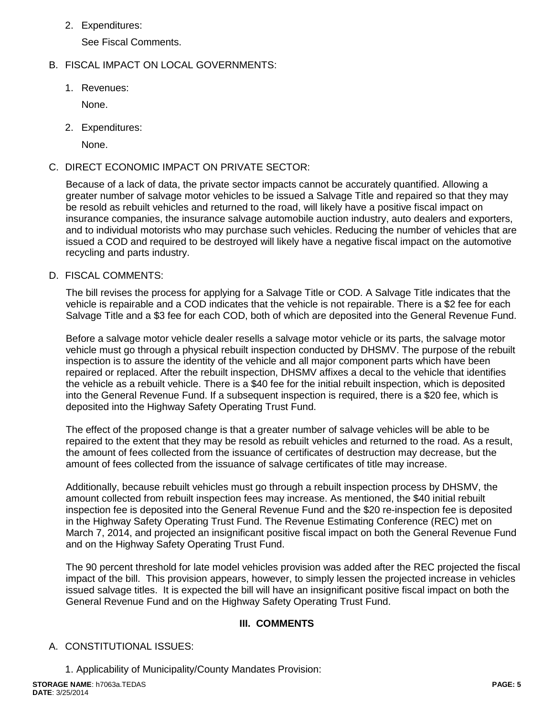2. Expenditures:

See Fiscal Comments.

# B. FISCAL IMPACT ON LOCAL GOVERNMENTS:

1. Revenues:

None.

2. Expenditures:

None.

### C. DIRECT ECONOMIC IMPACT ON PRIVATE SECTOR:

Because of a lack of data, the private sector impacts cannot be accurately quantified. Allowing a greater number of salvage motor vehicles to be issued a Salvage Title and repaired so that they may be resold as rebuilt vehicles and returned to the road, will likely have a positive fiscal impact on insurance companies, the insurance salvage automobile auction industry, auto dealers and exporters, and to individual motorists who may purchase such vehicles. Reducing the number of vehicles that are issued a COD and required to be destroyed will likely have a negative fiscal impact on the automotive recycling and parts industry.

### D. FISCAL COMMENTS:

The bill revises the process for applying for a Salvage Title or COD. A Salvage Title indicates that the vehicle is repairable and a COD indicates that the vehicle is not repairable. There is a \$2 fee for each Salvage Title and a \$3 fee for each COD, both of which are deposited into the General Revenue Fund.

Before a salvage motor vehicle dealer resells a salvage motor vehicle or its parts, the salvage motor vehicle must go through a physical rebuilt inspection conducted by DHSMV. The purpose of the rebuilt inspection is to assure the identity of the vehicle and all major component parts which have been repaired or replaced. After the rebuilt inspection, DHSMV affixes a decal to the vehicle that identifies the vehicle as a rebuilt vehicle. There is a \$40 fee for the initial rebuilt inspection, which is deposited into the General Revenue Fund. If a subsequent inspection is required, there is a \$20 fee, which is deposited into the Highway Safety Operating Trust Fund.

The effect of the proposed change is that a greater number of salvage vehicles will be able to be repaired to the extent that they may be resold as rebuilt vehicles and returned to the road. As a result, the amount of fees collected from the issuance of certificates of destruction may decrease, but the amount of fees collected from the issuance of salvage certificates of title may increase.

Additionally, because rebuilt vehicles must go through a rebuilt inspection process by DHSMV, the amount collected from rebuilt inspection fees may increase. As mentioned, the \$40 initial rebuilt inspection fee is deposited into the General Revenue Fund and the \$20 re-inspection fee is deposited in the Highway Safety Operating Trust Fund. The Revenue Estimating Conference (REC) met on March 7, 2014, and projected an insignificant positive fiscal impact on both the General Revenue Fund and on the Highway Safety Operating Trust Fund.

The 90 percent threshold for late model vehicles provision was added after the REC projected the fiscal impact of the bill. This provision appears, however, to simply lessen the projected increase in vehicles issued salvage titles. It is expected the bill will have an insignificant positive fiscal impact on both the General Revenue Fund and on the Highway Safety Operating Trust Fund.

### **III. COMMENTS**

## A. CONSTITUTIONAL ISSUES:

1. Applicability of Municipality/County Mandates Provision: